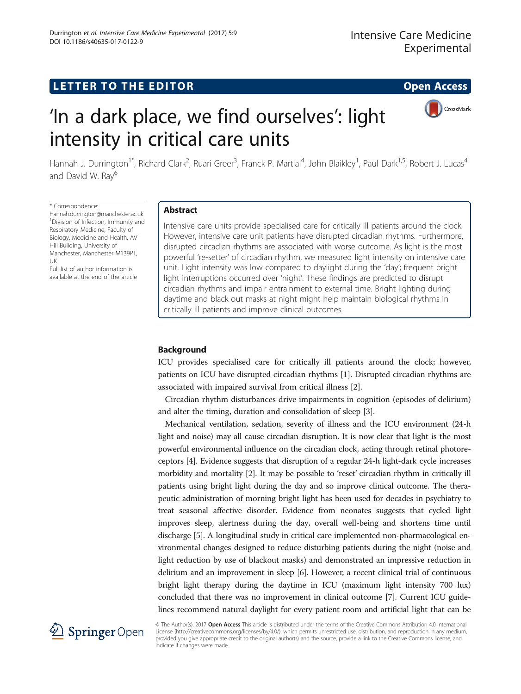# LETTER TO THE EDITOR **CONSIDERING THE EDITOR** CONSIDERING THE STATE AND THE STATE ASSAULT THE STATE AND THE STATE ASSAULT THE STATE AND THE STATE AND THE STATE AND THE STATE ASSAULT THE STATE AND THE STATE ASSAULT THE STAT



# 'In a dark place, we find ourselves': light intensity in critical care units

Hannah J. Durrington<sup>1\*</sup>, Richard Clark<sup>2</sup>, Ruari Greer<sup>3</sup>, Franck P. Martial<sup>4</sup>, John Blaikley<sup>1</sup>, Paul Dark<sup>1,5</sup>, Robert J. Lucas<sup>4</sup> and David W. Ray<sup>6</sup>

#### \* Correspondence:

[Hannah.durrington@manchester.ac.uk](mailto:<?A3B2 twb=.27w?><?A3B2 tlsb=-.19pt?>Hannah.durrington@manchester.ac.uk) 1 Division of Infection, Immunity and Respiratory Medicine, Faculty of Biology, Medicine and Health, AV Hill Building, University of Manchester, Manchester M139PT, UK

Full list of author information is available at the end of the article

# Abstract

Intensive care units provide specialised care for critically ill patients around the clock. However, intensive care unit patients have disrupted circadian rhythms. Furthermore, disrupted circadian rhythms are associated with worse outcome. As light is the most powerful 're-setter' of circadian rhythm, we measured light intensity on intensive care unit. Light intensity was low compared to daylight during the 'day'; frequent bright light interruptions occurred over 'night'. These findings are predicted to disrupt circadian rhythms and impair entrainment to external time. Bright lighting during daytime and black out masks at night might help maintain biological rhythms in critically ill patients and improve clinical outcomes.

# Background

ICU provides specialised care for critically ill patients around the clock; however, patients on ICU have disrupted circadian rhythms [[1\]](#page-4-0). Disrupted circadian rhythms are associated with impaired survival from critical illness [\[2\]](#page-4-0).

Circadian rhythm disturbances drive impairments in cognition (episodes of delirium) and alter the timing, duration and consolidation of sleep [\[3](#page-4-0)].

Mechanical ventilation, sedation, severity of illness and the ICU environment (24-h light and noise) may all cause circadian disruption. It is now clear that light is the most powerful environmental influence on the circadian clock, acting through retinal photoreceptors [\[4\]](#page-4-0). Evidence suggests that disruption of a regular 24-h light-dark cycle increases morbidity and mortality [[2\]](#page-4-0). It may be possible to 'reset' circadian rhythm in critically ill patients using bright light during the day and so improve clinical outcome. The therapeutic administration of morning bright light has been used for decades in psychiatry to treat seasonal affective disorder. Evidence from neonates suggests that cycled light improves sleep, alertness during the day, overall well-being and shortens time until discharge [\[5](#page-4-0)]. A longitudinal study in critical care implemented non-pharmacological environmental changes designed to reduce disturbing patients during the night (noise and light reduction by use of blackout masks) and demonstrated an impressive reduction in delirium and an improvement in sleep [[6\]](#page-4-0). However, a recent clinical trial of continuous bright light therapy during the daytime in ICU (maximum light intensity 700 lux) concluded that there was no improvement in clinical outcome [[7\]](#page-4-0). Current ICU guidelines recommend natural daylight for every patient room and artificial light that can be



© The Author(s). 2017 Open Access This article is distributed under the terms of the Creative Commons Attribution 4.0 International License [\(http://creativecommons.org/licenses/by/4.0/](http://creativecommons.org/licenses/by/4.0/)), which permits unrestricted use, distribution, and reproduction in any medium, provided you give appropriate credit to the original author(s) and the source, provide a link to the Creative Commons license, and indicate if changes were made.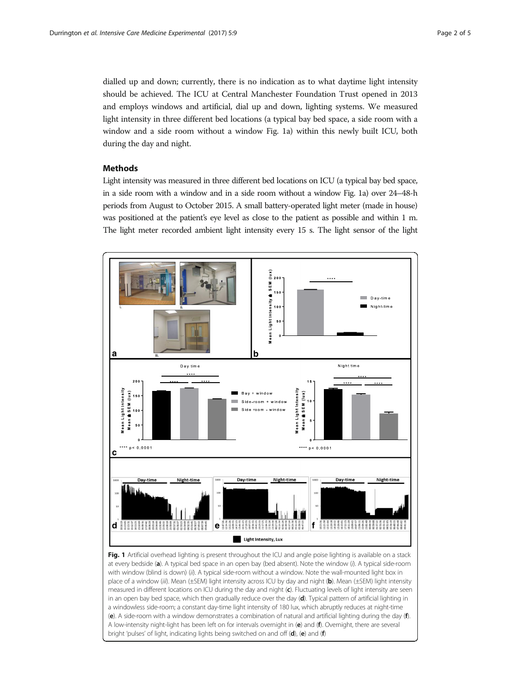<span id="page-1-0"></span>dialled up and down; currently, there is no indication as to what daytime light intensity should be achieved. The ICU at Central Manchester Foundation Trust opened in 2013 and employs windows and artificial, dial up and down, lighting systems. We measured light intensity in three different bed locations (a typical bay bed space, a side room with a window and a side room without a window Fig. 1a) within this newly built ICU, both during the day and night.

### Methods

Light intensity was measured in three different bed locations on ICU (a typical bay bed space, in a side room with a window and in a side room without a window Fig. 1a) over 24–48-h periods from August to October 2015. A small battery-operated light meter (made in house) was positioned at the patient's eye level as close to the patient as possible and within 1 m. The light meter recorded ambient light intensity every 15 s. The light sensor of the light



at every bedside (a). A typical bed space in an open bay (bed absent). Note the window (i). A typical side-room with window (blind is down) (ii). A typical side-room without a window. Note the wall-mounted light box in place of a window (iii). Mean (±SEM) light intensity across ICU by day and night (b). Mean (±SEM) light intensity measured in different locations on ICU during the day and night (c). Fluctuating levels of light intensity are seen in an open bay bed space, which then gradually reduce over the day (d). Typical pattern of artificial lighting in a windowless side-room; a constant day-time light intensity of 180 lux, which abruptly reduces at night-time (e). A side-room with a window demonstrates a combination of natural and artificial lighting during the day (f). A low-intensity night-light has been left on for intervals overnight in (e) and (f). Overnight, there are several bright 'pulses' of light, indicating lights being switched on and off (d), (e) and (f)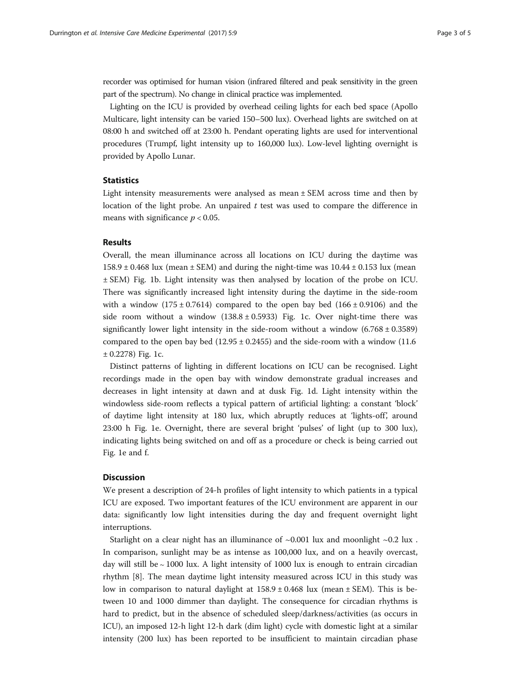recorder was optimised for human vision (infrared filtered and peak sensitivity in the green part of the spectrum). No change in clinical practice was implemented.

Lighting on the ICU is provided by overhead ceiling lights for each bed space (Apollo Multicare, light intensity can be varied 150–500 lux). Overhead lights are switched on at 08:00 h and switched off at 23:00 h. Pendant operating lights are used for interventional procedures (Trumpf, light intensity up to 160,000 lux). Low-level lighting overnight is provided by Apollo Lunar.

## **Statistics**

Light intensity measurements were analysed as mean ± SEM across time and then by location of the light probe. An unpaired  $t$  test was used to compare the difference in means with significance  $p < 0.05$ .

### Results

Overall, the mean illuminance across all locations on ICU during the daytime was  $158.9 \pm 0.468$  lux (mean  $\pm$  SEM) and during the night-time was  $10.44 \pm 0.153$  lux (mean ± SEM) Fig. [1b](#page-1-0). Light intensity was then analysed by location of the probe on ICU. There was significantly increased light intensity during the daytime in the side-room with a window  $(175 \pm 0.7614)$  compared to the open bay bed  $(166 \pm 0.9106)$  and the side room without a window  $(138.8 \pm 0.5933)$  Fig. [1](#page-1-0)c. Over night-time there was significantly lower light intensity in the side-room without a window  $(6.768 \pm 0.3589)$ compared to the open bay bed  $(12.95 \pm 0.2455)$  and the side-room with a window  $(11.6$  $\pm$  0.2278) Fig. [1](#page-1-0)c.

Distinct patterns of lighting in different locations on ICU can be recognised. Light recordings made in the open bay with window demonstrate gradual increases and decreases in light intensity at dawn and at dusk Fig. [1](#page-1-0)d. Light intensity within the windowless side-room reflects a typical pattern of artificial lighting: a constant 'block' of daytime light intensity at 180 lux, which abruptly reduces at 'lights-off', around 23:00 h Fig. [1e](#page-1-0). Overnight, there are several bright 'pulses' of light (up to 300 lux), indicating lights being switched on and off as a procedure or check is being carried out Fig. [1](#page-1-0)e and f.

#### **Discussion**

We present a description of 24-h profiles of light intensity to which patients in a typical ICU are exposed. Two important features of the ICU environment are apparent in our data: significantly low light intensities during the day and frequent overnight light interruptions.

Starlight on a clear night has an illuminance of  $\sim 0.001$  lux and moonlight  $\sim 0.2$  lux. In comparison, sunlight may be as intense as 100,000 lux, and on a heavily overcast, day will still be ∼ 1000 lux. A light intensity of 1000 lux is enough to entrain circadian rhythm [[8\]](#page-4-0). The mean daytime light intensity measured across ICU in this study was low in comparison to natural daylight at  $158.9 \pm 0.468$  lux (mean  $\pm$  SEM). This is between 10 and 1000 dimmer than daylight. The consequence for circadian rhythms is hard to predict, but in the absence of scheduled sleep/darkness/activities (as occurs in ICU), an imposed 12-h light 12-h dark (dim light) cycle with domestic light at a similar intensity (200 lux) has been reported to be insufficient to maintain circadian phase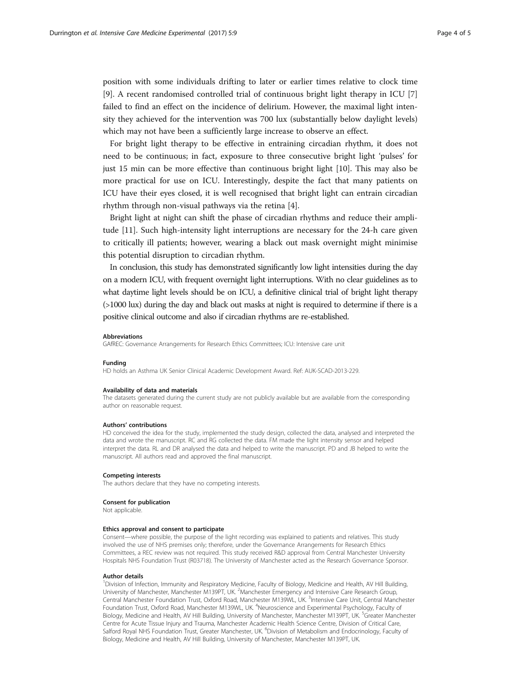position with some individuals drifting to later or earlier times relative to clock time [[9\]](#page-4-0). A recent randomised controlled trial of continuous bright light therapy in ICU [[7](#page-4-0)] failed to find an effect on the incidence of delirium. However, the maximal light intensity they achieved for the intervention was 700 lux (substantially below daylight levels) which may not have been a sufficiently large increase to observe an effect.

For bright light therapy to be effective in entraining circadian rhythm, it does not need to be continuous; in fact, exposure to three consecutive bright light 'pulses' for just 15 min can be more effective than continuous bright light [\[10](#page-4-0)]. This may also be more practical for use on ICU. Interestingly, despite the fact that many patients on ICU have their eyes closed, it is well recognised that bright light can entrain circadian rhythm through non-visual pathways via the retina [\[4](#page-4-0)].

Bright light at night can shift the phase of circadian rhythms and reduce their amplitude [\[11](#page-4-0)]. Such high-intensity light interruptions are necessary for the 24-h care given to critically ill patients; however, wearing a black out mask overnight might minimise this potential disruption to circadian rhythm.

In conclusion, this study has demonstrated significantly low light intensities during the day on a modern ICU, with frequent overnight light interruptions. With no clear guidelines as to what daytime light levels should be on ICU, a definitive clinical trial of bright light therapy (>1000 lux) during the day and black out masks at night is required to determine if there is a positive clinical outcome and also if circadian rhythms are re-established.

#### Abbreviations

GAfREC: Governance Arrangements for Research Ethics Committees; ICU: Intensive care unit

#### Funding

HD holds an Asthma UK Senior Clinical Academic Development Award. Ref: AUK-SCAD-2013-229.

#### Availability of data and materials

The datasets generated during the current study are not publicly available but are available from the corresponding author on reasonable request.

#### Authors' contributions

HD conceived the idea for the study, implemented the study design, collected the data, analysed and interpreted the data and wrote the manuscript. RC and RG collected the data. FM made the light intensity sensor and helped interpret the data. RL and DR analysed the data and helped to write the manuscript. PD and JB helped to write the manuscript. All authors read and approved the final manuscript.

#### Competing interests

The authors declare that they have no competing interests.

#### Consent for publication

Not applicable.

#### Ethics approval and consent to participate

Consent—where possible, the purpose of the light recording was explained to patients and relatives. This study involved the use of NHS premises only; therefore, under the Governance Arrangements for Research Ethics Committees, a REC review was not required. This study received R&D approval from Central Manchester University Hospitals NHS Foundation Trust (R03718). The University of Manchester acted as the Research Governance Sponsor.

#### Author details

<sup>1</sup>Division of Infection, Immunity and Respiratory Medicine, Faculty of Biology, Medicine and Health, AV Hill Building, University of Manchester, Manchester M139PT, UK. <sup>2</sup>Manchester Emergency and Intensive Care Research Group, Central Manchester Foundation Trust, Oxford Road, Manchester M139WL, UK. <sup>3</sup>Intensive Care Unit, Central Manchester Foundation Trust, Oxford Road, Manchester M139WL, UK. <sup>4</sup>Neuroscience and Experimental Psychology, Faculty of Biology, Medicine and Health, AV Hill Building, University of Manchester, Manchester M139PT, UK. <sup>5</sup>Greater Manchester Centre for Acute Tissue Injury and Trauma, Manchester Academic Health Science Centre, Division of Critical Care, Salford Royal NHS Foundation Trust, Greater Manchester, UK. <sup>6</sup>Division of Metabolism and Endocrinology, Faculty of Biology, Medicine and Health, AV Hill Building, University of Manchester, Manchester M139PT, UK.